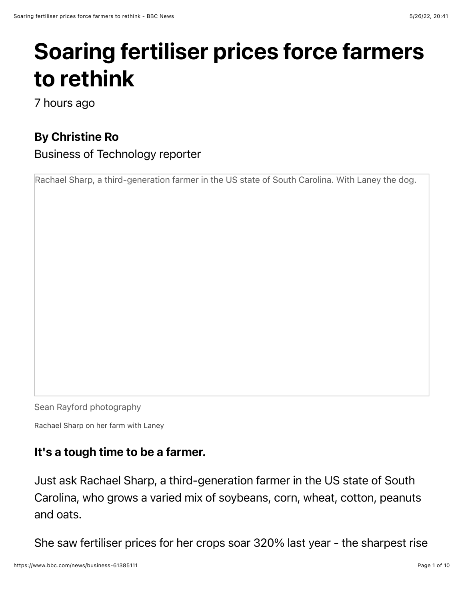## Soaring fertiliser prices force farmers to rethink

7 hours ago

## By Christine Ro

Business of Technology reporter

Rachael Sharp, a third-generation farmer in the US state of South Carolina. With Laney the dog.

Sean Rayford photography

Rachael Sharp on her farm with Laney

## It's a tough time to be a farmer.

Just ask Rachael Sharp, a third-generation farmer in the US state of South Carolina, who grows a varied mix of soybeans, corn, wheat, cotton, peanuts and oats.

She saw fertiliser prices for her crops soar 320% last year - the sharpest rise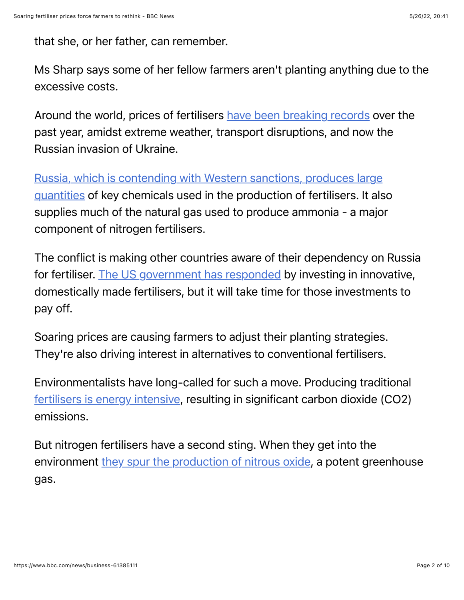that she, or her father, can remember.

Ms Sharp says some of her fellow farmers aren't planting anything due to the excessive costs.

Around the world, prices of fertilisers [have been breaking records](https://www.reuters.com/business/sanctions-bite-russia-fertilizer-shortage-imperils-world-food-supply-2022-03-23/) over the past year, amidst extreme weather, transport disruptions, and now the Russian invasion of Ukraine.

[Russia, which is contending with Western sanctions, produces large](https://www.bbc.co.uk/news/business-60623941) quantities of key chemicals used in the production of fertilisers. It also supplies much of the natural gas used to produce ammonia - a major component of nitrogen fertilisers.

The conflict is making other countries aware of their dependency on Russia for fertiliser. [The US government has responded](https://www.morningagclips.com/usda-announces-plans-to-support-innovative-american-made-fertilizer/) by investing in innovative, domestically made fertilisers, but it will take time for those investments to pay off.

Soaring prices are causing farmers to adjust their planting strategies. They're also driving interest in alternatives to conventional fertilisers.

Environmentalists have long-called for such a move. Producing traditional [fertilisers is energy intensive,](https://climate.mit.edu/explainers/fertilizer-and-climate-change) resulting in significant carbon dioxide (CO2) emissions.

But nitrogen fertilisers have a second sting. When they get into the environment [they spur the production of nitrous oxide,](https://www.anthropocenemagazine.org/2020/10/the-fertilizer-solution-has-become-a-major-climate-problem/) a potent greenhouse gas.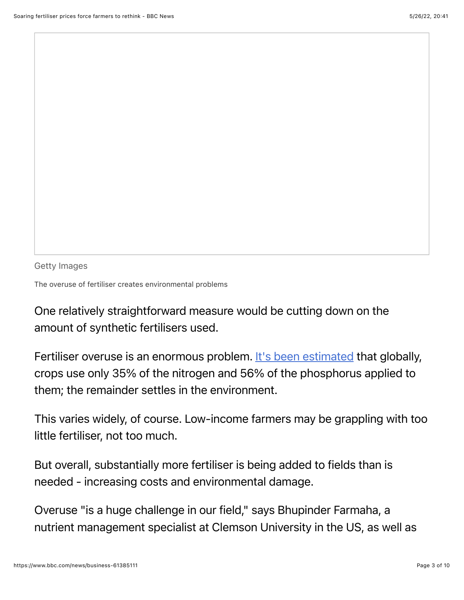Getty Images

The overuse of fertiliser creates environmental problems

One relatively straightforward measure would be cutting down on the amount of synthetic fertilisers used.

Fertiliser overuse is an enormous problem. [It's been estimated](https://ourworldindata.org/excess-fertilizer) that globally, crops use only 35% of the nitrogen and 56% of the phosphorus applied to them; the remainder settles in the environment.

This varies widely, of course. Low-income farmers may be grappling with too little fertiliser, not too much.

But overall, substantially more fertiliser is being added to fields than is needed - increasing costs and environmental damage.

Overuse "is a huge challenge in our field," says Bhupinder Farmaha, a nutrient management specialist at Clemson University in the US, as well as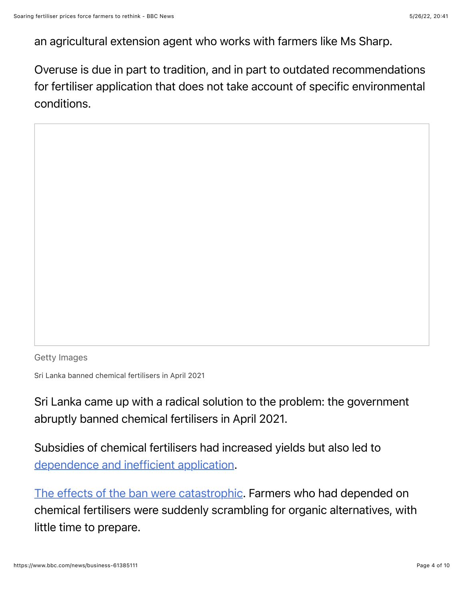an agricultural extension agent who works with farmers like Ms Sharp.

Overuse is due in part to tradition, and in part to outdated recommendations for fertiliser application that does not take account of specific environmental conditions.

Getty Images

Sri Lanka banned chemical fertilisers in April 2021

Sri Lanka came up with a radical solution to the problem: the government abruptly banned chemical fertilisers in April 2021.

Subsidies of chemical fertilisers had increased yields but also led to [dependence and inefficient application](https://scholar.google.com/citations?view_op=view_citation&hl=en&user=nyBXQVAAAAAJ&sortby=pubdate&citation_for_view=nyBXQVAAAAAJ:mvPsJ3kp5DgC).

[The effects of the ban were catastrophic](https://www.reuters.com/markets/commodities/fertiliser-ban-decimates-sri-lankan-crops-government-popularity-ebbs-2022-03-03/). Farmers who had depended on chemical fertilisers were suddenly scrambling for organic alternatives, with little time to prepare.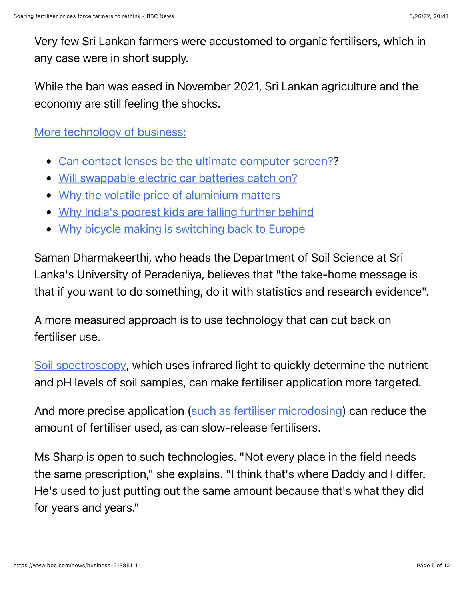Very few Sri Lankan farmers were accustomed to organic fertilisers, which in any case were in short supply.

While the ban was eased in November 2021, Sri Lankan agriculture and the economy are still feeling the shocks.

[More technology of business:](https://bbc.in/2EWgS6u)

- [Can contact lenses be the ultimate computer screen](https://www.bbc.co.uk/news/business-61318460)??
- [Will swappable electric car batteries catch on](https://www.bbc.co.uk/news/business-61310513)?
- [Why the volatile price of aluminium matters](https://www.bbc.co.uk/news/business-61346885)
- [Why India's poorest kids are falling further behind](https://www.bbc.co.uk/news/business-61174482)
- [Why bicycle making is switching back to Europe](https://www.bbc.co.uk/news/business-61082317)

Saman Dharmakeerthi, who heads the Department of Soil Science at Sri Lanka's University of Peradeniya, believes that "the take-home message is that if you want to do something, do it with statistics and research evidence".

A more measured approach is to use technology that can cut back on fertiliser use.

[Soil spectroscopy,](https://www.bbc.co.uk/sounds/play/p09klrnn) which uses infrared light to quickly determine the nutrient and pH levels of soil samples, can make fertiliser application more targeted.

And more precise application [\(such as fertiliser microdosing](https://www.bbc.com/future/bespoke/follow-the-food/how-to-bring-life-to-dying-soils/)) can reduce the amount of fertiliser used, as can slow-release fertilisers.

Ms Sharp is open to such technologies. "Not every place in the field needs the same prescription," she explains. "I think that's where Daddy and I differ. He's used to just putting out the same amount because that's what they did for years and years."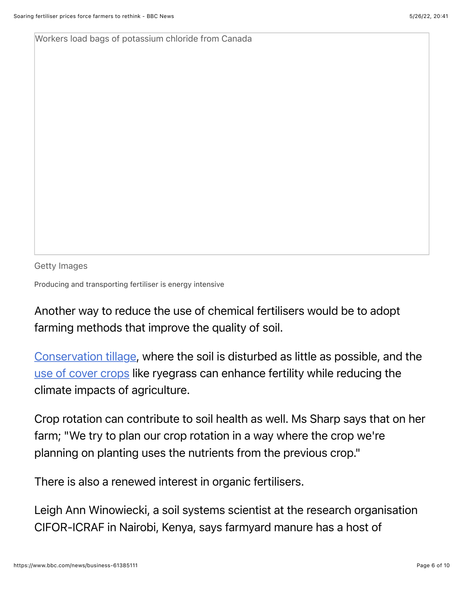Workers load bags of potassium chloride from Canada

Getty Images

Producing and transporting fertiliser is energy intensive

Another way to reduce the use of chemical fertilisers would be to adopt farming methods that improve the quality of soil.

[Conservation tillage,](https://www.ctc-n.org/technologies/conservation-tillage) where the soil is disturbed as little as possible, and the [use of cover crops](https://www.gov.uk/guidance/use-cover-crops-or-green-manure) like ryegrass can enhance fertility while reducing the climate impacts of agriculture.

Crop rotation can contribute to soil health as well. Ms Sharp says that on her farm; "We try to plan our crop rotation in a way where the crop we're planning on planting uses the nutrients from the previous crop."

There is also a renewed interest in organic fertilisers.

Leigh Ann Winowiecki, a soil systems scientist at the research organisation CIFOR-ICRAF in Nairobi, Kenya, says farmyard manure has a host of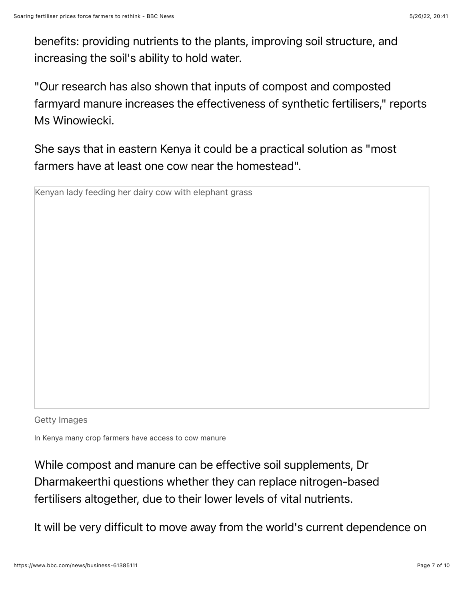benefits: providing nutrients to the plants, improving soil structure, and increasing the soil's ability to hold water.

"Our research has also shown that inputs of compost and composted farmyard manure increases the effectiveness of synthetic fertilisers," reports Ms Winowiecki.

She says that in eastern Kenya it could be a practical solution as "most farmers have at least one cow near the homestead".

Kenyan lady feeding her dairy cow with elephant grass

Getty Images

In Kenya many crop farmers have access to cow manure

While compost and manure can be effective soil supplements, Dr Dharmakeerthi questions whether they can replace nitrogen-based fertilisers altogether, due to their lower levels of vital nutrients.

It will be very difficult to move away from the world's current dependence on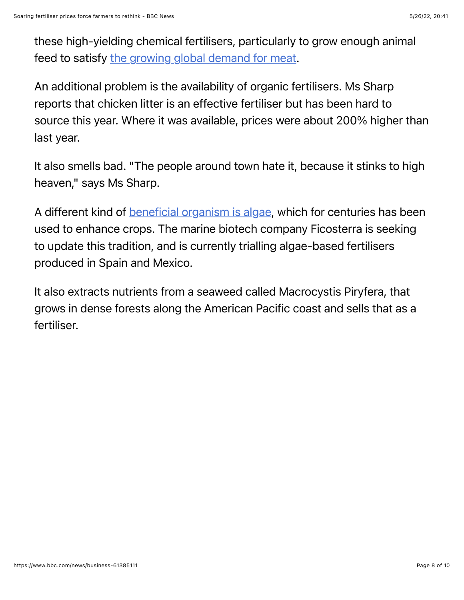these high-yielding chemical fertilisers, particularly to grow enough animal feed to satisfy [the growing global demand for meat](https://www.vaclavsmil.com/wp-content/uploads/docs/smil-article-worldagriculture.pdf).

An additional problem is the availability of organic fertilisers. Ms Sharp reports that chicken litter is an effective fertiliser but has been hard to source this year. Where it was available, prices were about 200% higher than last year.

It also smells bad. "The people around town hate it, because it stinks to high heaven," says Ms Sharp.

A different kind of **beneficial organism is algae**, which for centuries has been used to enhance crops. The marine biotech company Ficosterra is seeking to update this tradition, and is currently trialling algae-based fertilisers produced in Spain and Mexico.

It also extracts nutrients from a seaweed called Macrocystis Piryfera, that grows in dense forests along the American Pacific coast and sells that as a fertiliser.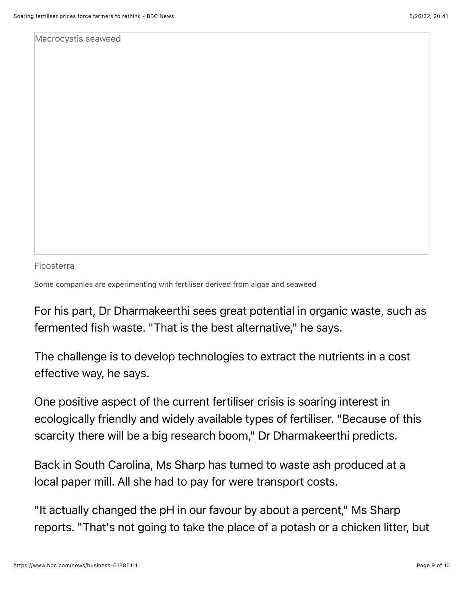Macrocystis seaweed

Ficosterra

Some companies are experimenting with fertiliser derived from algae and seaweed

For his part, Dr Dharmakeerthi sees great potential in organic waste, such as fermented fish waste. "That is the best alternative," he says.

The challenge is to develop technologies to extract the nutrients in a cost effective way, he says.

One positive aspect of the current fertiliser crisis is soaring interest in ecologically friendly and widely available types of fertiliser. "Because of this scarcity there will be a big research boom," Dr Dharmakeerthi predicts.

Back in South Carolina, Ms Sharp has turned to waste ash produced at a local paper mill. All she had to pay for were transport costs.

"It actually changed the pH in our favour by about a percent," Ms Sharp reports. "That's not going to take the place of a potash or a chicken litter, but